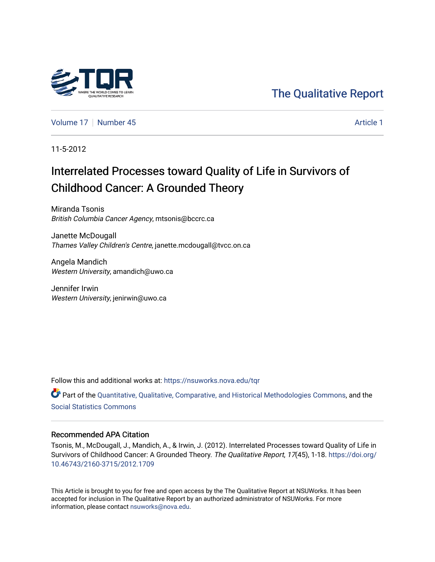

[The Qualitative Report](https://nsuworks.nova.edu/tqr) 

[Volume 17](https://nsuworks.nova.edu/tqr/vol17) [Number 45](https://nsuworks.nova.edu/tqr/vol17/iss45) Article 1

11-5-2012

# Interrelated Processes toward Quality of Life in Survivors of Childhood Cancer: A Grounded Theory

Miranda Tsonis British Columbia Cancer Agency, mtsonis@bccrc.ca

Janette McDougall Thames Valley Children's Centre, janette.mcdougall@tvcc.on.ca

Angela Mandich Western University, amandich@uwo.ca

Jennifer Irwin Western University, jenirwin@uwo.ca

Follow this and additional works at: [https://nsuworks.nova.edu/tqr](https://nsuworks.nova.edu/tqr?utm_source=nsuworks.nova.edu%2Ftqr%2Fvol17%2Fiss45%2F1&utm_medium=PDF&utm_campaign=PDFCoverPages) 

Part of the [Quantitative, Qualitative, Comparative, and Historical Methodologies Commons,](http://network.bepress.com/hgg/discipline/423?utm_source=nsuworks.nova.edu%2Ftqr%2Fvol17%2Fiss45%2F1&utm_medium=PDF&utm_campaign=PDFCoverPages) and the [Social Statistics Commons](http://network.bepress.com/hgg/discipline/1275?utm_source=nsuworks.nova.edu%2Ftqr%2Fvol17%2Fiss45%2F1&utm_medium=PDF&utm_campaign=PDFCoverPages) 

# Recommended APA Citation

Tsonis, M., McDougall, J., Mandich, A., & Irwin, J. (2012). Interrelated Processes toward Quality of Life in Survivors of Childhood Cancer: A Grounded Theory. The Qualitative Report, 17(45), 1-18. [https://doi.org/](https://doi.org/10.46743/2160-3715/2012.1709) [10.46743/2160-3715/2012.1709](https://doi.org/10.46743/2160-3715/2012.1709)

This Article is brought to you for free and open access by the The Qualitative Report at NSUWorks. It has been accepted for inclusion in The Qualitative Report by an authorized administrator of NSUWorks. For more information, please contact [nsuworks@nova.edu.](mailto:nsuworks@nova.edu)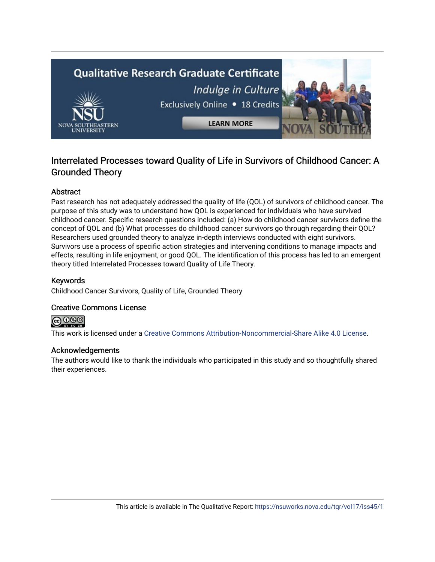

# Interrelated Processes toward Quality of Life in Survivors of Childhood Cancer: A Grounded Theory

# Abstract

Past research has not adequately addressed the quality of life (QOL) of survivors of childhood cancer. The purpose of this study was to understand how QOL is experienced for individuals who have survived childhood cancer. Specific research questions included: (a) How do childhood cancer survivors define the concept of QOL and (b) What processes do childhood cancer survivors go through regarding their QOL? Researchers used grounded theory to analyze in-depth interviews conducted with eight survivors. Survivors use a process of specific action strategies and intervening conditions to manage impacts and effects, resulting in life enjoyment, or good QOL. The identification of this process has led to an emergent theory titled Interrelated Processes toward Quality of Life Theory.

# Keywords

Childhood Cancer Survivors, Quality of Life, Grounded Theory

# Creative Commons License



This work is licensed under a [Creative Commons Attribution-Noncommercial-Share Alike 4.0 License](https://creativecommons.org/licenses/by-nc-sa/4.0/).

# Acknowledgements

The authors would like to thank the individuals who participated in this study and so thoughtfully shared their experiences.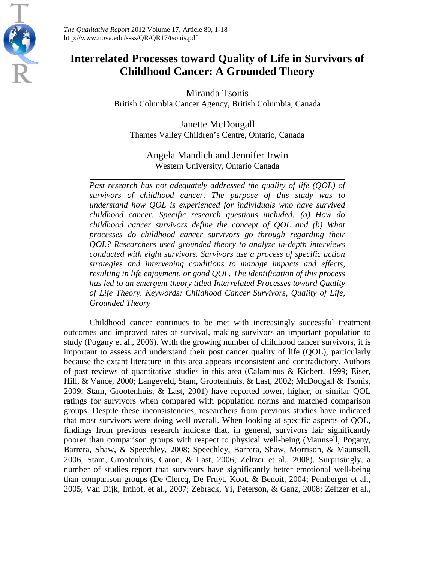

*The Qualitative Report* 2012 Volume 17, Article 89, 1-18 http://www.nova.edu/ssss/QR/QR17/tsonis.pdf

# **Interrelated Processes toward Quality of Life in Survivors of Childhood Cancer: A Grounded Theory**

Miranda Tsonis British Columbia Cancer Agency, British Columbia, Canada

Janette McDougall Thames Valley Children's Centre, Ontario, Canada

Angela Mandich and Jennifer Irwin Western University, Ontario Canada

*Past research has not adequately addressed the quality of life (QOL) of survivors of childhood cancer. The purpose of this study was to understand how QOL is experienced for individuals who have survived childhood cancer. Specific research questions included: (a) How do childhood cancer survivors define the concept of QOL and (b) What processes do childhood cancer survivors go through regarding their QOL? Researchers used grounded theory to analyze in-depth interviews conducted with eight survivors. Survivors use a process of specific action strategies and intervening conditions to manage impacts and effects, resulting in life enjoyment, or good QOL. The identification of this process has led to an emergent theory titled Interrelated Processes toward Quality of Life Theory. Keywords: Childhood Cancer Survivors, Quality of Life, Grounded Theory*

Childhood cancer continues to be met with increasingly successful treatment outcomes and improved rates of survival, making survivors an important population to study (Pogany et al., 2006). With the growing number of childhood cancer survivors, it is important to assess and understand their post cancer quality of life (QOL), particularly because the extant literature in this area appears inconsistent and contradictory. Authors of past reviews of quantitative studies in this area (Calaminus & Kiebert, 1999; Eiser, Hill, & Vance, 2000; Langeveld, Stam, Grootenhuis, & Last, 2002; McDougall & Tsonis, 2009; Stam, Grootenhuis, & Last, 2001) have reported lower, higher, or similar QOL ratings for survivors when compared with population norms and matched comparison groups. Despite these inconsistencies, researchers from previous studies have indicated that most survivors were doing well overall. When looking at specific aspects of QOL, findings from previous research indicate that, in general, survivors fair significantly poorer than comparison groups with respect to physical well-being (Maunsell, Pogany, Barrera, Shaw, & Speechley, 2008; Speechley, Barrera, Shaw, Morrison, & Maunsell, 2006; Stam, Grootenhuis, Caron, & Last, 2006; Zeltzer et al., 2008). Surprisingly, a number of studies report that survivors have significantly better emotional well-being than comparison groups (De Clercq, De Fruyt, Koot, & Benoit, 2004; Pemberger et al., 2005; Van Dijk, Imhof, et al., 2007; Zebrack, Yi, Peterson, & Ganz, 2008; Zeltzer et al.,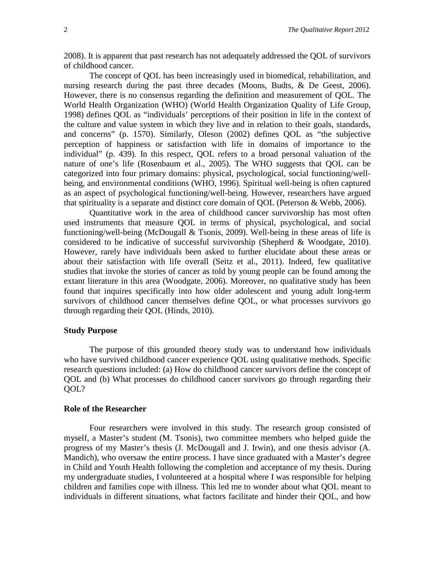2008). It is apparent that past research has not adequately addressed the QOL of survivors of childhood cancer.

The concept of QOL has been increasingly used in biomedical, rehabilitation, and nursing research during the past three decades (Moons, Budts, & De Geest, 2006). However, there is no consensus regarding the definition and measurement of QOL. The World Health Organization (WHO) (World Health Organization Quality of Life Group, 1998) defines QOL as "individuals' perceptions of their position in life in the context of the culture and value system in which they live and in relation to their goals, standards, and concerns" (p. 1570). Similarly, Oleson (2002) defines QOL as "the subjective perception of happiness or satisfaction with life in domains of importance to the individual" (p. 439). In this respect, QOL refers to a broad personal valuation of the nature of one's life (Rosenbaum et al., 2005). The WHO suggests that QOL can be categorized into four primary domains: physical, psychological, social functioning/wellbeing, and environmental conditions (WHO, 1996). Spiritual well-being is often captured as an aspect of psychological functioning/well-being. However, researchers have argued that spirituality is a separate and distinct core domain of QOL (Peterson & Webb, 2006).

Quantitative work in the area of childhood cancer survivorship has most often used instruments that measure QOL in terms of physical, psychological, and social functioning/well-being (McDougall & Tsonis, 2009). Well-being in these areas of life is considered to be indicative of successful survivorship (Shepherd & Woodgate, 2010). However, rarely have individuals been asked to further elucidate about these areas or about their satisfaction with life overall (Seitz et al., 2011). Indeed, few qualitative studies that invoke the stories of cancer as told by young people can be found among the extant literature in this area (Woodgate, 2006). Moreover, no qualitative study has been found that inquires specifically into how older adolescent and young adult long-term survivors of childhood cancer themselves define QOL, or what processes survivors go through regarding their QOL (Hinds, 2010).

### **Study Purpose**

The purpose of this grounded theory study was to understand how individuals who have survived childhood cancer experience QOL using qualitative methods. Specific research questions included: (a) How do childhood cancer survivors define the concept of QOL and (b) What processes do childhood cancer survivors go through regarding their QOL?

#### **Role of the Researcher**

Four researchers were involved in this study. The research group consisted of myself, a Master's student (M. Tsonis), two committee members who helped guide the progress of my Master's thesis (J. McDougall and J. Irwin), and one thesis advisor (A. Mandich), who oversaw the entire process. I have since graduated with a Master's degree in Child and Youth Health following the completion and acceptance of my thesis. During my undergraduate studies, I volunteered at a hospital where I was responsible for helping children and families cope with illness. This led me to wonder about what QOL meant to individuals in different situations, what factors facilitate and hinder their QOL, and how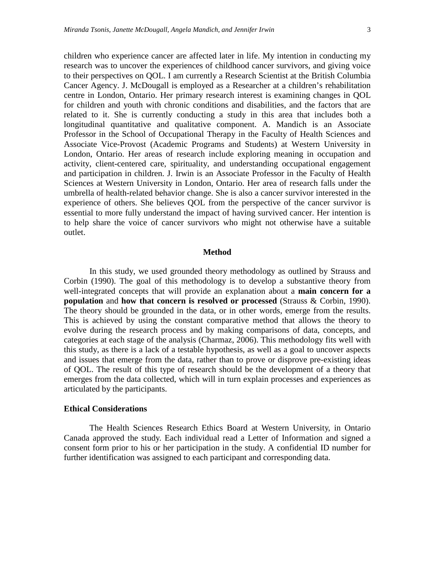children who experience cancer are affected later in life. My intention in conducting my research was to uncover the experiences of childhood cancer survivors, and giving voice to their perspectives on QOL. I am currently a Research Scientist at the British Columbia Cancer Agency. J. McDougall is employed as a Researcher at a children's rehabilitation centre in London, Ontario. Her primary research interest is examining changes in QOL for children and youth with chronic conditions and disabilities, and the factors that are related to it. She is currently conducting a study in this area that includes both a longitudinal quantitative and qualitative component. A. Mandich is an Associate Professor in the School of Occupational Therapy in the Faculty of Health Sciences and Associate Vice-Provost (Academic Programs and Students) at Western University in London, Ontario. Her areas of research include exploring meaning in occupation and activity, client-centered care, spirituality, and understanding occupational engagement and participation in children. J. Irwin is an Associate Professor in the Faculty of Health Sciences at Western University in London, Ontario. Her area of research falls under the umbrella of health-related behavior change. She is also a cancer survivor interested in the experience of others. She believes QOL from the perspective of the cancer survivor is essential to more fully understand the impact of having survived cancer. Her intention is to help share the voice of cancer survivors who might not otherwise have a suitable outlet.

#### **Method**

In this study, we used grounded theory methodology as outlined by Strauss and Corbin (1990). The goal of this methodology is to develop a substantive theory from well-integrated concepts that will provide an explanation about a **main concern for a population** and **how that concern is resolved or processed** (Strauss & Corbin, 1990). The theory should be grounded in the data, or in other words, emerge from the results. This is achieved by using the constant comparative method that allows the theory to evolve during the research process and by making comparisons of data, concepts, and categories at each stage of the analysis (Charmaz, 2006). This methodology fits well with this study, as there is a lack of a testable hypothesis, as well as a goal to uncover aspects and issues that emerge from the data, rather than to prove or disprove pre-existing ideas of QOL. The result of this type of research should be the development of a theory that emerges from the data collected, which will in turn explain processes and experiences as articulated by the participants.

#### **Ethical Considerations**

The Health Sciences Research Ethics Board at Western University, in Ontario Canada approved the study. Each individual read a Letter of Information and signed a consent form prior to his or her participation in the study. A confidential ID number for further identification was assigned to each participant and corresponding data.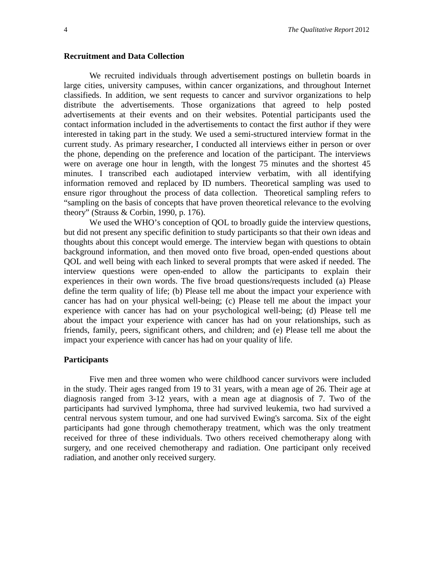#### **Recruitment and Data Collection**

We recruited individuals through advertisement postings on bulletin boards in large cities, university campuses, within cancer organizations, and throughout Internet classifieds. In addition, we sent requests to cancer and survivor organizations to help distribute the advertisements. Those organizations that agreed to help posted advertisements at their events and on their websites. Potential participants used the contact information included in the advertisements to contact the first author if they were interested in taking part in the study. We used a semi-structured interview format in the current study. As primary researcher, I conducted all interviews either in person or over the phone, depending on the preference and location of the participant. The interviews were on average one hour in length, with the longest 75 minutes and the shortest 45 minutes. I transcribed each audiotaped interview verbatim, with all identifying information removed and replaced by ID numbers. Theoretical sampling was used to ensure rigor throughout the process of data collection. Theoretical sampling refers to "sampling on the basis of concepts that have proven theoretical relevance to the evolving theory" (Strauss & Corbin, 1990, p. 176).

We used the WHO's conception of QOL to broadly guide the interview questions, but did not present any specific definition to study participants so that their own ideas and thoughts about this concept would emerge. The interview began with questions to obtain background information, and then moved onto five broad, open-ended questions about QOL and well being with each linked to several prompts that were asked if needed. The interview questions were open-ended to allow the participants to explain their experiences in their own words. The five broad questions/requests included (a) Please define the term quality of life; (b) Please tell me about the impact your experience with cancer has had on your physical well-being; (c) Please tell me about the impact your experience with cancer has had on your psychological well-being; (d) Please tell me about the impact your experience with cancer has had on your relationships, such as friends, family, peers, significant others, and children; and (e) Please tell me about the impact your experience with cancer has had on your quality of life.

#### **Participants**

Five men and three women who were childhood cancer survivors were included in the study. Their ages ranged from 19 to 31 years, with a mean age of 26. Their age at diagnosis ranged from 3-12 years, with a mean age at diagnosis of 7. Two of the participants had survived lymphoma, three had survived leukemia, two had survived a central nervous system tumour, and one had survived Ewing's sarcoma. Six of the eight participants had gone through chemotherapy treatment, which was the only treatment received for three of these individuals. Two others received chemotherapy along with surgery, and one received chemotherapy and radiation. One participant only received radiation, and another only received surgery.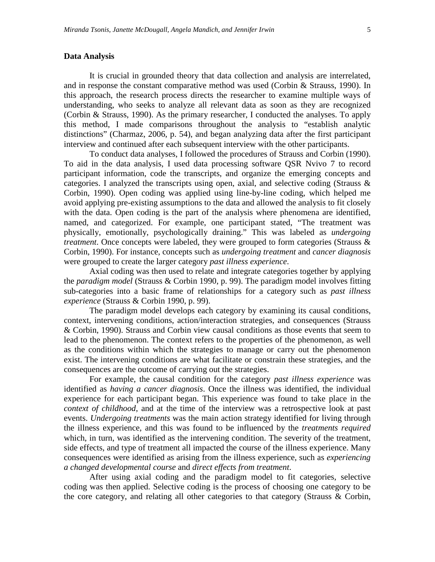# **Data Analysis**

It is crucial in grounded theory that data collection and analysis are interrelated, and in response the constant comparative method was used (Corbin & Strauss, 1990). In this approach, the research process directs the researcher to examine multiple ways of understanding, who seeks to analyze all relevant data as soon as they are recognized (Corbin & Strauss, 1990). As the primary researcher, I conducted the analyses. To apply this method, I made comparisons throughout the analysis to "establish analytic distinctions" (Charmaz, 2006, p. 54), and began analyzing data after the first participant interview and continued after each subsequent interview with the other participants.

To conduct data analyses, I followed the procedures of Strauss and Corbin (1990). To aid in the data analysis, I used data processing software QSR Nvivo 7 to record participant information, code the transcripts, and organize the emerging concepts and categories. I analyzed the transcripts using open, axial, and selective coding (Strauss & Corbin, 1990). Open coding was applied using line-by-line coding, which helped me avoid applying pre-existing assumptions to the data and allowed the analysis to fit closely with the data. Open coding is the part of the analysis where phenomena are identified, named, and categorized. For example, one participant stated, "The treatment was physically, emotionally, psychologically draining." This was labeled as *undergoing treatment*. Once concepts were labeled, they were grouped to form categories (Strauss & Corbin, 1990). For instance, concepts such as *undergoing treatment* and *cancer diagnosis* were grouped to create the larger category *past illness experience*.

Axial coding was then used to relate and integrate categories together by applying the *paradigm model* (Strauss & Corbin 1990, p. 99). The paradigm model involves fitting sub-categories into a basic frame of relationships for a category such as *past illness experience* (Strauss & Corbin 1990, p. 99).

The paradigm model develops each category by examining its causal conditions, context, intervening conditions, action/interaction strategies, and consequences (Strauss & Corbin, 1990). Strauss and Corbin view causal conditions as those events that seem to lead to the phenomenon. The context refers to the properties of the phenomenon, as well as the conditions within which the strategies to manage or carry out the phenomenon exist. The intervening conditions are what facilitate or constrain these strategies, and the consequences are the outcome of carrying out the strategies.

For example, the causal condition for the category *past illness experience* was identified as *having a cancer diagnosis*. Once the illness was identified, the individual experience for each participant began. This experience was found to take place in the *context of childhood*, and at the time of the interview was a retrospective look at past events. *Undergoing treatments* was the main action strategy identified for living through the illness experience, and this was found to be influenced by the *treatments required* which, in turn, was identified as the intervening condition. The severity of the treatment, side effects, and type of treatment all impacted the course of the illness experience. Many consequences were identified as arising from the illness experience, such as *experiencing a changed developmental course* and *direct effects from treatment*.

After using axial coding and the paradigm model to fit categories, selective coding was then applied. Selective coding is the process of choosing one category to be the core category, and relating all other categories to that category (Strauss & Corbin,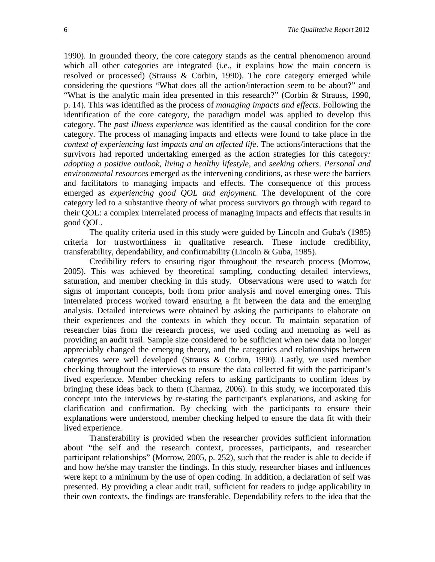1990). In grounded theory, the core category stands as the central phenomenon around which all other categories are integrated (i.e., it explains how the main concern is resolved or processed) (Strauss & Corbin, 1990). The core category emerged while considering the questions "What does all the action/interaction seem to be about?" and "What is the analytic main idea presented in this research?" (Corbin & Strauss, 1990, p. 14). This was identified as the process of *managing impacts and effects.* Following the identification of the core category, the paradigm model was applied to develop this category. The *past illness experience* was identified as the causal condition for the core category. The process of managing impacts and effects were found to take place in the *context of experiencing last impacts and an affected life*. The actions/interactions that the survivors had reported undertaking emerged as the action strategies for this category*: adopting a positive outlook, living a healthy lifestyle,* and *seeking others*. *Personal and environmental resources* emerged as the intervening conditions, as these were the barriers and facilitators to managing impacts and effects. The consequence of this process emerged as *experiencing good QOL and enjoyment.* The development of the core category led to a substantive theory of what process survivors go through with regard to their QOL: a complex interrelated process of managing impacts and effects that results in good QOL.

The quality criteria used in this study were guided by Lincoln and Guba's (1985) criteria for trustworthiness in qualitative research. These include credibility, transferability, dependability, and confirmability (Lincoln & Guba, 1985).

Credibility refers to ensuring rigor throughout the research process (Morrow, 2005). This was achieved by theoretical sampling, conducting detailed interviews, saturation, and member checking in this study. Observations were used to watch for signs of important concepts, both from prior analysis and novel emerging ones. This interrelated process worked toward ensuring a fit between the data and the emerging analysis. Detailed interviews were obtained by asking the participants to elaborate on their experiences and the contexts in which they occur. To maintain separation of researcher bias from the research process, we used coding and memoing as well as providing an audit trail. Sample size considered to be sufficient when new data no longer appreciably changed the emerging theory, and the categories and relationships between categories were well developed (Strauss & Corbin, 1990). Lastly, we used member checking throughout the interviews to ensure the data collected fit with the participant's lived experience. Member checking refers to asking participants to confirm ideas by bringing these ideas back to them (Charmaz, 2006). In this study, we incorporated this concept into the interviews by re-stating the participant's explanations, and asking for clarification and confirmation. By checking with the participants to ensure their explanations were understood, member checking helped to ensure the data fit with their lived experience.

Transferability is provided when the researcher provides sufficient information about "the self and the research context, processes, participants, and researcher participant relationships" (Morrow, 2005, p. 252), such that the reader is able to decide if and how he/she may transfer the findings. In this study, researcher biases and influences were kept to a minimum by the use of open coding. In addition, a declaration of self was presented. By providing a clear audit trail, sufficient for readers to judge applicability in their own contexts, the findings are transferable. Dependability refers to the idea that the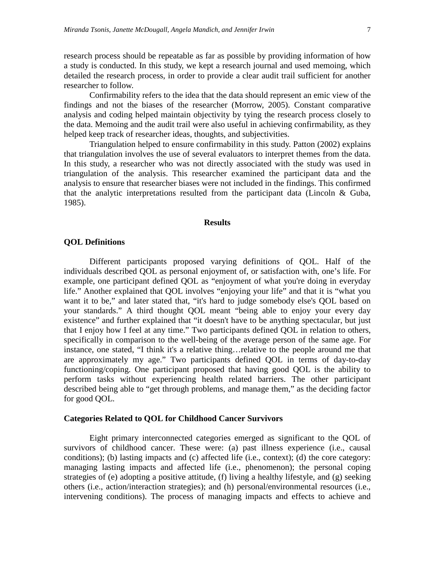research process should be repeatable as far as possible by providing information of how a study is conducted. In this study, we kept a research journal and used memoing, which detailed the research process, in order to provide a clear audit trail sufficient for another researcher to follow.

Confirmability refers to the idea that the data should represent an emic view of the findings and not the biases of the researcher (Morrow, 2005). Constant comparative analysis and coding helped maintain objectivity by tying the research process closely to the data. Memoing and the audit trail were also useful in achieving confirmability, as they helped keep track of researcher ideas, thoughts, and subjectivities.

Triangulation helped to ensure confirmability in this study. Patton (2002) explains that triangulation involves the use of several evaluators to interpret themes from the data. In this study, a researcher who was not directly associated with the study was used in triangulation of the analysis. This researcher examined the participant data and the analysis to ensure that researcher biases were not included in the findings. This confirmed that the analytic interpretations resulted from the participant data (Lincoln & Guba, 1985).

#### **Results**

### **QOL Definitions**

Different participants proposed varying definitions of QOL. Half of the individuals described QOL as personal enjoyment of, or satisfaction with, one's life. For example, one participant defined QOL as "enjoyment of what you're doing in everyday life." Another explained that QOL involves "enjoying your life" and that it is "what you want it to be," and later stated that, "it's hard to judge somebody else's QOL based on your standards." A third thought QOL meant "being able to enjoy your every day existence" and further explained that "it doesn't have to be anything spectacular, but just that I enjoy how I feel at any time." Two participants defined QOL in relation to others, specifically in comparison to the well-being of the average person of the same age. For instance, one stated, "I think it's a relative thing…relative to the people around me that are approximately my age." Two participants defined QOL in terms of day-to-day functioning/coping. One participant proposed that having good QOL is the ability to perform tasks without experiencing health related barriers. The other participant described being able to "get through problems, and manage them," as the deciding factor for good QOL.

# **Categories Related to QOL for Childhood Cancer Survivors**

Eight primary interconnected categories emerged as significant to the QOL of survivors of childhood cancer. These were: (a) past illness experience (i.e., causal conditions); (b) lasting impacts and (c) affected life (i.e., context); (d) the core category: managing lasting impacts and affected life (i.e., phenomenon); the personal coping strategies of (e) adopting a positive attitude, (f) living a healthy lifestyle, and (g) seeking others (i.e., action/interaction strategies); and (h) personal/environmental resources (i.e., intervening conditions). The process of managing impacts and effects to achieve and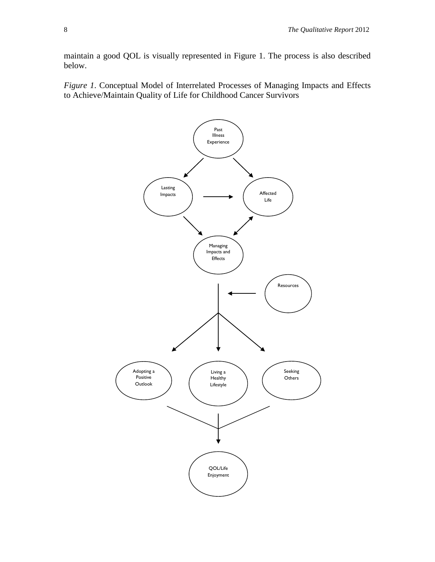maintain a good QOL is visually represented in Figure 1. The process is also described below.

*Figure 1*. Conceptual Model of Interrelated Processes of Managing Impacts and Effects to Achieve/Maintain Quality of Life for Childhood Cancer Survivors

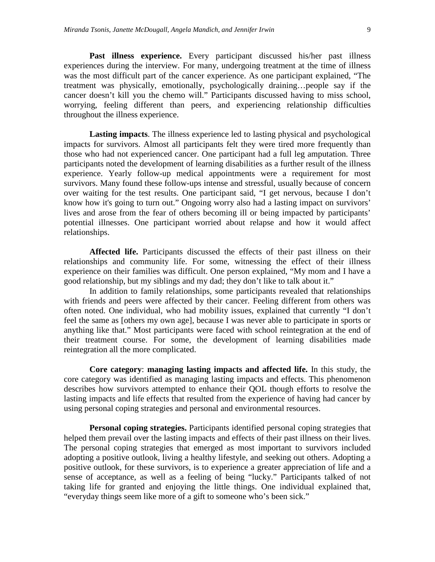Past illness experience. Every participant discussed his/her past illness experiences during the interview. For many, undergoing treatment at the time of illness was the most difficult part of the cancer experience. As one participant explained, "The treatment was physically, emotionally, psychologically draining…people say if the cancer doesn't kill you the chemo will." Participants discussed having to miss school, worrying, feeling different than peers, and experiencing relationship difficulties throughout the illness experience.

**Lasting impacts**. The illness experience led to lasting physical and psychological impacts for survivors. Almost all participants felt they were tired more frequently than those who had not experienced cancer. One participant had a full leg amputation. Three participants noted the development of learning disabilities as a further result of the illness experience. Yearly follow-up medical appointments were a requirement for most survivors. Many found these follow-ups intense and stressful, usually because of concern over waiting for the test results. One participant said, "I get nervous, because I don't know how it's going to turn out." Ongoing worry also had a lasting impact on survivors' lives and arose from the fear of others becoming ill or being impacted by participants' potential illnesses. One participant worried about relapse and how it would affect relationships.

**Affected life.** Participants discussed the effects of their past illness on their relationships and community life. For some, witnessing the effect of their illness experience on their families was difficult. One person explained, "My mom and I have a good relationship, but my siblings and my dad; they don't like to talk about it."

In addition to family relationships, some participants revealed that relationships with friends and peers were affected by their cancer. Feeling different from others was often noted. One individual, who had mobility issues, explained that currently "I don't feel the same as [others my own age], because I was never able to participate in sports or anything like that." Most participants were faced with school reintegration at the end of their treatment course. For some, the development of learning disabilities made reintegration all the more complicated.

**Core category**: **managing lasting impacts and affected life.** In this study, the core category was identified as managing lasting impacts and effects. This phenomenon describes how survivors attempted to enhance their QOL though efforts to resolve the lasting impacts and life effects that resulted from the experience of having had cancer by using personal coping strategies and personal and environmental resources.

**Personal coping strategies.** Participants identified personal coping strategies that helped them prevail over the lasting impacts and effects of their past illness on their lives. The personal coping strategies that emerged as most important to survivors included adopting a positive outlook, living a healthy lifestyle, and seeking out others. Adopting a positive outlook, for these survivors, is to experience a greater appreciation of life and a sense of acceptance, as well as a feeling of being "lucky." Participants talked of not taking life for granted and enjoying the little things. One individual explained that, "everyday things seem like more of a gift to someone who's been sick."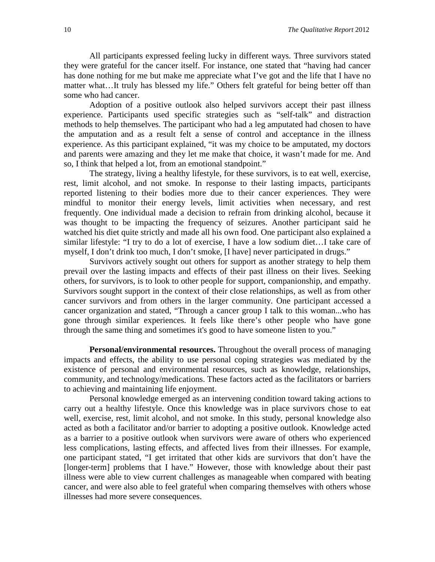All participants expressed feeling lucky in different ways. Three survivors stated they were grateful for the cancer itself. For instance, one stated that "having had cancer has done nothing for me but make me appreciate what I've got and the life that I have no matter what…It truly has blessed my life." Others felt grateful for being better off than some who had cancer.

Adoption of a positive outlook also helped survivors accept their past illness experience. Participants used specific strategies such as "self-talk" and distraction methods to help themselves. The participant who had a leg amputated had chosen to have the amputation and as a result felt a sense of control and acceptance in the illness experience. As this participant explained, "it was my choice to be amputated, my doctors and parents were amazing and they let me make that choice, it wasn't made for me. And so, I think that helped a lot, from an emotional standpoint."

The strategy, living a healthy lifestyle, for these survivors, is to eat well, exercise, rest, limit alcohol, and not smoke. In response to their lasting impacts, participants reported listening to their bodies more due to their cancer experiences. They were mindful to monitor their energy levels, limit activities when necessary, and rest frequently. One individual made a decision to refrain from drinking alcohol, because it was thought to be impacting the frequency of seizures. Another participant said he watched his diet quite strictly and made all his own food. One participant also explained a similar lifestyle: "I try to do a lot of exercise, I have a low sodium diet…I take care of myself, I don't drink too much, I don't smoke, [I have] never participated in drugs."

Survivors actively sought out others for support as another strategy to help them prevail over the lasting impacts and effects of their past illness on their lives. Seeking others, for survivors, is to look to other people for support, companionship, and empathy. Survivors sought support in the context of their close relationships, as well as from other cancer survivors and from others in the larger community. One participant accessed a cancer organization and stated, "Through a cancer group I talk to this woman...who has gone through similar experiences. It feels like there's other people who have gone through the same thing and sometimes it's good to have someone listen to you."

**Personal/environmental resources.** Throughout the overall process of managing impacts and effects, the ability to use personal coping strategies was mediated by the existence of personal and environmental resources, such as knowledge, relationships, community, and technology/medications. These factors acted as the facilitators or barriers to achieving and maintaining life enjoyment.

Personal knowledge emerged as an intervening condition toward taking actions to carry out a healthy lifestyle. Once this knowledge was in place survivors chose to eat well, exercise, rest, limit alcohol, and not smoke. In this study, personal knowledge also acted as both a facilitator and/or barrier to adopting a positive outlook. Knowledge acted as a barrier to a positive outlook when survivors were aware of others who experienced less complications, lasting effects, and affected lives from their illnesses. For example, one participant stated, "I get irritated that other kids are survivors that don't have the [longer-term] problems that I have." However, those with knowledge about their past illness were able to view current challenges as manageable when compared with beating cancer, and were also able to feel grateful when comparing themselves with others whose illnesses had more severe consequences.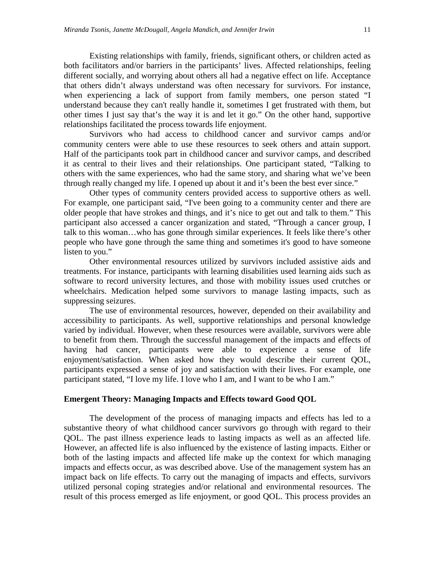Existing relationships with family, friends, significant others, or children acted as both facilitators and/or barriers in the participants' lives. Affected relationships, feeling different socially, and worrying about others all had a negative effect on life. Acceptance that others didn't always understand was often necessary for survivors. For instance, when experiencing a lack of support from family members, one person stated "I understand because they can't really handle it, sometimes I get frustrated with them, but other times I just say that's the way it is and let it go." On the other hand, supportive relationships facilitated the process towards life enjoyment.

Survivors who had access to childhood cancer and survivor camps and/or community centers were able to use these resources to seek others and attain support. Half of the participants took part in childhood cancer and survivor camps, and described it as central to their lives and their relationships. One participant stated, "Talking to others with the same experiences, who had the same story, and sharing what we've been through really changed my life. I opened up about it and it's been the best ever since."

Other types of community centers provided access to supportive others as well. For example, one participant said, "I've been going to a community center and there are older people that have strokes and things, and it's nice to get out and talk to them." This participant also accessed a cancer organization and stated, "Through a cancer group, I talk to this woman…who has gone through similar experiences. It feels like there's other people who have gone through the same thing and sometimes it's good to have someone listen to you."

Other environmental resources utilized by survivors included assistive aids and treatments. For instance, participants with learning disabilities used learning aids such as software to record university lectures, and those with mobility issues used crutches or wheelchairs. Medication helped some survivors to manage lasting impacts, such as suppressing seizures.

The use of environmental resources, however, depended on their availability and accessibility to participants. As well, supportive relationships and personal knowledge varied by individual. However, when these resources were available, survivors were able to benefit from them. Through the successful management of the impacts and effects of having had cancer, participants were able to experience a sense of life enjoyment/satisfaction. When asked how they would describe their current QOL, participants expressed a sense of joy and satisfaction with their lives. For example, one participant stated, "I love my life. I love who I am, and I want to be who I am."

### **Emergent Theory: Managing Impacts and Effects toward Good QOL**

The development of the process of managing impacts and effects has led to a substantive theory of what childhood cancer survivors go through with regard to their QOL. The past illness experience leads to lasting impacts as well as an affected life. However, an affected life is also influenced by the existence of lasting impacts. Either or both of the lasting impacts and affected life make up the context for which managing impacts and effects occur, as was described above. Use of the management system has an impact back on life effects. To carry out the managing of impacts and effects, survivors utilized personal coping strategies and/or relational and environmental resources. The result of this process emerged as life enjoyment, or good QOL. This process provides an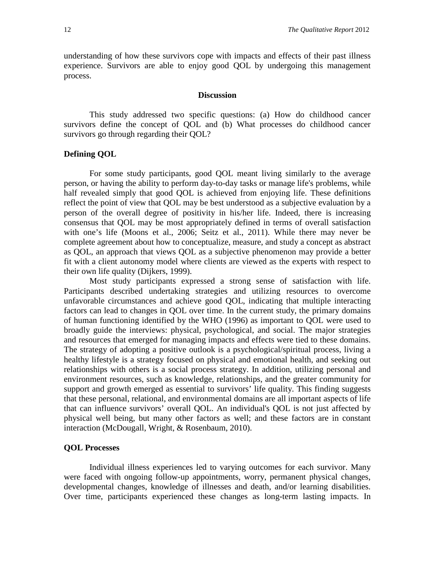understanding of how these survivors cope with impacts and effects of their past illness experience. Survivors are able to enjoy good QOL by undergoing this management process.

### **Discussion**

This study addressed two specific questions: (a) How do childhood cancer survivors define the concept of QOL and (b) What processes do childhood cancer survivors go through regarding their QOL?

# **Defining QOL**

For some study participants, good QOL meant living similarly to the average person, or having the ability to perform day-to-day tasks or manage life's problems, while half revealed simply that good QOL is achieved from enjoying life. These definitions reflect the point of view that QOL may be best understood as a subjective evaluation by a person of the overall degree of positivity in his/her life. Indeed, there is increasing consensus that QOL may be most appropriately defined in terms of overall satisfaction with one's life (Moons et al., 2006; Seitz et al., 2011). While there may never be complete agreement about how to conceptualize, measure, and study a concept as abstract as QOL, an approach that views QOL as a subjective phenomenon may provide a better fit with a client autonomy model where clients are viewed as the experts with respect to their own life quality (Dijkers, 1999).

Most study participants expressed a strong sense of satisfaction with life. Participants described undertaking strategies and utilizing resources to overcome unfavorable circumstances and achieve good QOL, indicating that multiple interacting factors can lead to changes in QOL over time. In the current study, the primary domains of human functioning identified by the WHO (1996) as important to QOL were used to broadly guide the interviews: physical, psychological, and social. The major strategies and resources that emerged for managing impacts and effects were tied to these domains. The strategy of adopting a positive outlook is a psychological/spiritual process, living a healthy lifestyle is a strategy focused on physical and emotional health, and seeking out relationships with others is a social process strategy. In addition, utilizing personal and environment resources, such as knowledge, relationships, and the greater community for support and growth emerged as essential to survivors' life quality. This finding suggests that these personal, relational, and environmental domains are all important aspects of life that can influence survivors' overall QOL. An individual's QOL is not just affected by physical well being, but many other factors as well; and these factors are in constant interaction (McDougall, Wright, & Rosenbaum, 2010).

#### **QOL Processes**

Individual illness experiences led to varying outcomes for each survivor. Many were faced with ongoing follow-up appointments, worry, permanent physical changes, developmental changes, knowledge of illnesses and death, and/or learning disabilities. Over time, participants experienced these changes as long-term lasting impacts. In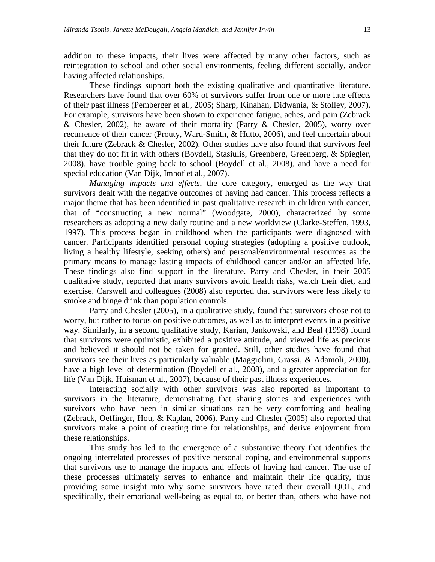addition to these impacts, their lives were affected by many other factors, such as reintegration to school and other social environments, feeling different socially, and/or having affected relationships.

These findings support both the existing qualitative and quantitative literature. Researchers have found that over 60% of survivors suffer from one or more late effects of their past illness (Pemberger et al., 2005; Sharp, Kinahan, Didwania, & Stolley, 2007). For example, survivors have been shown to experience fatigue, aches, and pain (Zebrack & Chesler, 2002), be aware of their mortality (Parry & Chesler, 2005), worry over recurrence of their cancer (Prouty, Ward-Smith, & Hutto, 2006), and feel uncertain about their future (Zebrack & Chesler, 2002). Other studies have also found that survivors feel that they do not fit in with others (Boydell, Stasiulis, Greenberg, Greenberg, & Spiegler, 2008), have trouble going back to school (Boydell et al., 2008), and have a need for special education (Van Dijk, Imhof et al., 2007).

*Managing impacts and effects*, the core category, emerged as the way that survivors dealt with the negative outcomes of having had cancer. This process reflects a major theme that has been identified in past qualitative research in children with cancer, that of "constructing a new normal" (Woodgate, 2000), characterized by some researchers as adopting a new daily routine and a new worldview (Clarke-Steffen, 1993, 1997). This process began in childhood when the participants were diagnosed with cancer. Participants identified personal coping strategies (adopting a positive outlook, living a healthy lifestyle, seeking others) and personal/environmental resources as the primary means to manage lasting impacts of childhood cancer and/or an affected life. These findings also find support in the literature. Parry and Chesler, in their 2005 qualitative study, reported that many survivors avoid health risks, watch their diet, and exercise. Carswell and colleagues (2008) also reported that survivors were less likely to smoke and binge drink than population controls.

Parry and Chesler (2005), in a qualitative study, found that survivors chose not to worry, but rather to focus on positive outcomes, as well as to interpret events in a positive way. Similarly, in a second qualitative study, Karian, Jankowski, and Beal (1998) found that survivors were optimistic, exhibited a positive attitude, and viewed life as precious and believed it should not be taken for granted. Still, other studies have found that survivors see their lives as particularly valuable (Maggiolini, Grassi, & Adamoli, 2000), have a high level of determination (Boydell et al., 2008), and a greater appreciation for life (Van Dijk, Huisman et al., 2007), because of their past illness experiences.

Interacting socially with other survivors was also reported as important to survivors in the literature, demonstrating that sharing stories and experiences with survivors who have been in similar situations can be very comforting and healing (Zebrack, Oeffinger, Hou, & Kaplan, 2006). Parry and Chesler (2005) also reported that survivors make a point of creating time for relationships, and derive enjoyment from these relationships.

This study has led to the emergence of a substantive theory that identifies the ongoing interrelated processes of positive personal coping, and environmental supports that survivors use to manage the impacts and effects of having had cancer. The use of these processes ultimately serves to enhance and maintain their life quality, thus providing some insight into why some survivors have rated their overall QOL, and specifically, their emotional well-being as equal to, or better than, others who have not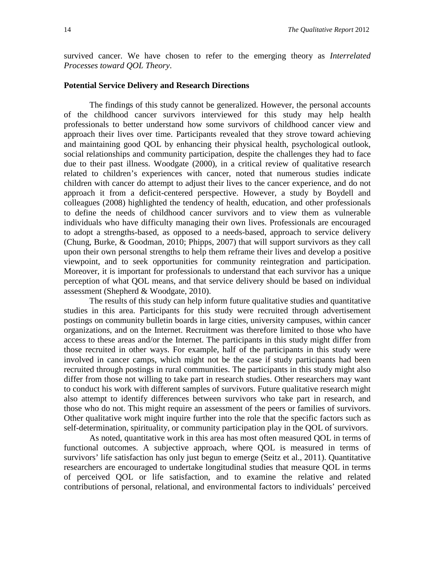survived cancer. We have chosen to refer to the emerging theory as *Interrelated Processes toward QOL Theory*.

# **Potential Service Delivery and Research Directions**

The findings of this study cannot be generalized. However, the personal accounts of the childhood cancer survivors interviewed for this study may help health professionals to better understand how some survivors of childhood cancer view and approach their lives over time. Participants revealed that they strove toward achieving and maintaining good QOL by enhancing their physical health, psychological outlook, social relationships and community participation, despite the challenges they had to face due to their past illness. Woodgate (2000), in a critical review of qualitative research related to children's experiences with cancer, noted that numerous studies indicate children with cancer do attempt to adjust their lives to the cancer experience, and do not approach it from a deficit-centered perspective. However, a study by Boydell and colleagues (2008) highlighted the tendency of health, education, and other professionals to define the needs of childhood cancer survivors and to view them as vulnerable individuals who have difficulty managing their own lives. Professionals are encouraged to adopt a strengths-based, as opposed to a needs-based, approach to service delivery (Chung, Burke, & Goodman, 2010; Phipps, 2007) that will support survivors as they call upon their own personal strengths to help them reframe their lives and develop a positive viewpoint, and to seek opportunities for community reintegration and participation. Moreover, it is important for professionals to understand that each survivor has a unique perception of what QOL means, and that service delivery should be based on individual assessment (Shepherd & Woodgate, 2010).

The results of this study can help inform future qualitative studies and quantitative studies in this area. Participants for this study were recruited through advertisement postings on community bulletin boards in large cities, university campuses, within cancer organizations, and on the Internet. Recruitment was therefore limited to those who have access to these areas and/or the Internet. The participants in this study might differ from those recruited in other ways. For example, half of the participants in this study were involved in cancer camps, which might not be the case if study participants had been recruited through postings in rural communities. The participants in this study might also differ from those not willing to take part in research studies. Other researchers may want to conduct his work with different samples of survivors. Future qualitative research might also attempt to identify differences between survivors who take part in research, and those who do not. This might require an assessment of the peers or families of survivors. Other qualitative work might inquire further into the role that the specific factors such as self-determination, spirituality, or community participation play in the QOL of survivors.

As noted, quantitative work in this area has most often measured QOL in terms of functional outcomes. A subjective approach, where QOL is measured in terms of survivors' life satisfaction has only just begun to emerge (Seitz et al., 2011). Quantitative researchers are encouraged to undertake longitudinal studies that measure QOL in terms of perceived QOL or life satisfaction, and to examine the relative and related contributions of personal, relational, and environmental factors to individuals' perceived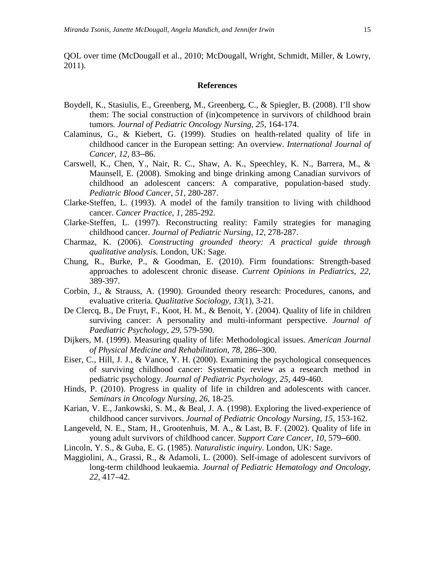QOL over time (McDougall et al., 2010; McDougall, Wright, Schmidt, Miller, & Lowry, 2011).

# **References**

- Boydell, K., Stasiulis, E., Greenberg, M., Greenberg, C., & Spiegler, B. (2008). I'll show them: The social construction of (in)competence in survivors of childhood brain tumors*. Journal of Pediatric Oncology Nursing*, *25,* 164-174.
- Calaminus, G., & Kiebert, G. (1999). Studies on health-related quality of life in childhood cancer in the European setting: An overview. *International Journal of Cancer, 12,* 83–86.
- Carswell, K., Chen, Y., Nair, R. C., Shaw, A. K., Speechley, K. N., Barrera, M., & Maunsell, E. (2008). Smoking and binge drinking among Canadian survivors of childhood an adolescent cancers: A comparative, population-based study. *Pediatric Blood Cancer, 51,* 280-287.
- Clarke-Steffen, L. (1993). A model of the family transition to living with childhood cancer. *Cancer Practice, 1,* 285-292.
- Clarke-Steffen, L. (1997). Reconstructing reality: Family strategies for managing childhood cancer. *Journal of Pediatric Nursing, 12,* 278-287.
- Charmaz, K. (2006). *Constructing grounded theory: A practical guide through qualitative analysis.* London, UK: Sage.
- Chung, R., Burke, P., & Goodman, E. (2010). Firm foundations: Strength-based approaches to adolescent chronic disease. *Current Opinions in Pediatrics, 22,* 389-397.
- Corbin, J., & Strauss, A. (1990). Grounded theory research: Procedures, canons, and evaluative criteria. *Qualitative Sociology, 13*(1), 3-21.
- De Clercq, B., De Fruyt, F., Koot, H. M., & Benoit, Y. (2004). Quality of life in children surviving cancer: A personality and multi-informant perspective. *Journal of Paediatric Psychology, 29,* 579-590.
- Dijkers, M. (1999). Measuring quality of life: Methodological issues. *American Journal of Physical Medicine and Rehabilitation, 78,* 286–300.
- Eiser, C., Hill, J. J., & Vance, Y. H. (2000). Examining the psychological consequences of surviving childhood cancer: Systematic review as a research method in pediatric psychology. *Journal of Pediatric Psychology, 25,* 449-460.
- Hinds, P. (2010). Progress in quality of life in children and adolescents with cancer. *Seminars in Oncology Nursing, 26*, 18-25.
- Karian, V. E., Jankowski, S. M., & Beal, J. A. (1998). Exploring the lived-experience of childhood cancer survivors. *Journal of Pediatric Oncology Nursing, 15,* 153-162.
- Langeveld, N. E., Stam, H., Grootenhuis, M. A., & Last, B. F. (2002). Quality of life in young adult survivors of childhood cancer. *Support Care Cancer, 10,* 579–600.
- Lincoln, Y. S., & Guba, E. G. (1985). *Naturalistic inquiry*. London, UK: Sage.
- Maggiolini, A., Grassi, R., & Adamoli, L. (2000). Self-image of adolescent survivors of long-term childhood leukaemia. *Journal of Pediatric Hematology and Oncology, 22,* 417–42.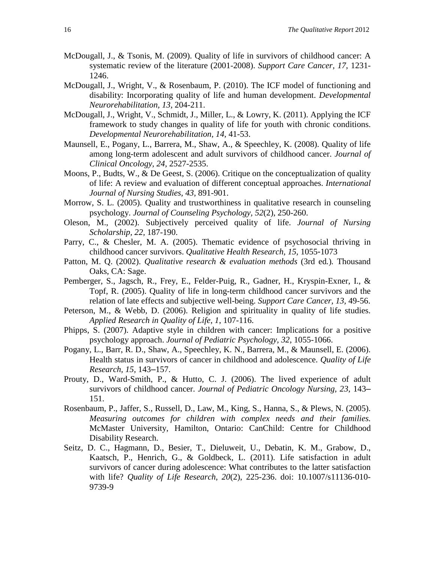- McDougall, J., & Tsonis, M. (2009). Quality of life in survivors of childhood cancer: A systematic review of the literature (2001-2008). *Support Care Cancer, 17*, 1231- 1246.
- McDougall, J., Wright, V., & Rosenbaum, P. (2010). The ICF model of functioning and disability: Incorporating quality of life and human development. *Developmental Neurorehabilitation, 13,* 204-211.
- McDougall, J., Wright, V., Schmidt, J., Miller, L., & Lowry, K. (2011). Applying the ICF framework to study changes in quality of life for youth with chronic conditions. *Developmental Neurorehabilitation, 14,* 41-53.
- Maunsell, E., Pogany, L., Barrera, M., Shaw, A., & Speechley, K. (2008). Quality of life among long-term adolescent and adult survivors of childhood cancer. *Journal of Clinical Oncology, 24,* 2527-2535.
- Moons, P., Budts, W., & De Geest, S. (2006). Critique on the conceptualization of quality of life: A review and evaluation of different conceptual approaches. *International Journal of Nursing Studies, 43,* 891-901.
- Morrow, S. L. (2005). Quality and trustworthiness in qualitative research in counseling psychology. *Journal of Counseling Psychology, 52*(2), 250-260.
- Oleson, M., (2002). Subjectively perceived quality of life. *Journal of Nursing Scholarship, 22,* 187-190.
- Parry, C., & Chesler, M. A. (2005). Thematic evidence of psychosocial thriving in childhood cancer survivors. *Qualitative Health Research, 15,* 1055-1073
- Patton, M. Q. (2002). *Qualitative research & evaluation methods* (3rd ed*.*)*.* Thousand Oaks, CA: Sage.
- Pemberger, S., Jagsch, R., Frey, E., Felder-Puig, R., Gadner, H., Kryspin-Exner, I., & Topf, R. (2005). Quality of life in long-term childhood cancer survivors and the relation of late effects and subjective well-being. *Support Care Cancer, 13,* 49-56.
- Peterson, M., & Webb, D. (2006). Religion and spirituality in quality of life studies. *Applied Research in Quality of Life, 1*, 107-116.
- Phipps, S. (2007). Adaptive style in children with cancer: Implications for a positive psychology approach. *Journal of Pediatric Psychology, 32,* 1055-1066.
- Pogany, L., Barr, R. D., Shaw, A., Speechley, K. N., Barrera, M., & Maunsell, E. (2006). Health status in survivors of cancer in childhood and adolescence. *Quality of Life Research, 15,* 143–157.
- Prouty, D., Ward-Smith, P., & Hutto, C. J. (2006). The lived experience of adult survivors of childhood cancer. *Journal of Pediatric Oncology Nursing, 23,* 143– 151.
- Rosenbaum, P., Jaffer, S., Russell, D., Law, M., King, S., Hanna, S., & Plews, N. (2005). *Measuring outcomes for children with complex needs and their families.* McMaster University, Hamilton, Ontario: CanChild: Centre for Childhood Disability Research.
- Seitz, D. C., Hagmann, D., Besier, T., Dieluweit, U., Debatin, K. M., Grabow, D., Kaatsch, P., Henrich, G., & Goldbeck, L. (2011). Life satisfaction in adult survivors of cancer during adolescence: What contributes to the latter satisfaction with life? *Quality of Life Research*, *20*(2), 225-236. doi: 10.1007/s11136-010- 9739-9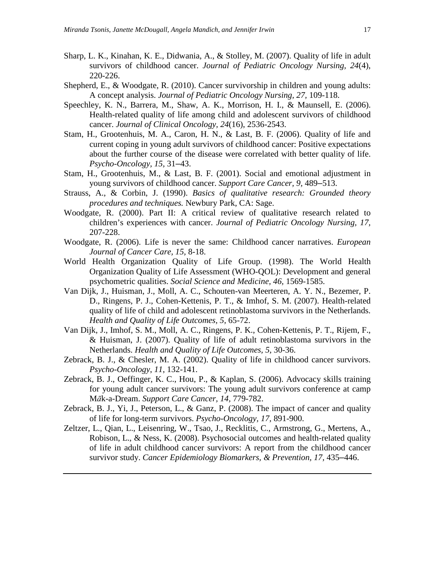- Sharp, L. K., Kinahan, K. E., Didwania, A., & Stolley, M. (2007). Quality of life in adult survivors of childhood cancer. *Journal of Pediatric Oncology Nursing, 24*(4), 220-226.
- Shepherd, E., & Woodgate, R. (2010). Cancer survivorship in children and young adults: A concept analysis. *Journal of Pediatric Oncology Nursing, 27,* 109-118.
- Speechley, K. N., Barrera, M., Shaw, A. K., Morrison, H. I., & Maunsell, E. (2006). Health-related quality of life among child and adolescent survivors of childhood cancer. *Journal of Clinical Oncology, 24*(16), 2536-2543.
- Stam, H., Grootenhuis, M. A., Caron, H. N., & Last, B. F. (2006). Quality of life and current coping in young adult survivors of childhood cancer: Positive expectations about the further course of the disease were correlated with better quality of life. *Psycho-Oncology, 15,* 31–43.
- Stam, H., Grootenhuis, M., & Last, B. F. (2001). Social and emotional adjustment in young survivors of childhood cancer. *Support Care Cancer, 9,* 489–513.
- Strauss, A., & Corbin, J. (1990). *Basics of qualitative research: Grounded theory procedures and techniques.* Newbury Park, CA: Sage.
- Woodgate, R. (2000). Part II: A critical review of qualitative research related to children's experiences with cancer. *Journal of Pediatric Oncology Nursing, 17,* 207-228.
- Woodgate, R. (2006). Life is never the same: Childhood cancer narratives. *European Journal of Cancer Care, 15,* 8-18.
- World Health Organization Quality of Life Group. (1998). The World Health Organization Quality of Life Assessment (WHO-QOL): Development and general psychometric qualities. *Social Science and Medicine, 46,* 1569-1585.
- Van Dijk, J., Huisman, J., Moll, A. C., Schouten-van Meerteren, A. Y. N., Bezemer, P. D., Ringens, P. J., Cohen-Kettenis, P. T., & Imhof, S. M. (2007). Health-related quality of life of child and adolescent retinoblastoma survivors in the Netherlands. *Health and Quality of Life Outcomes, 5,* 65-72.
- Van Dijk, J., Imhof, S. M., Moll, A. C., Ringens, P. K., Cohen-Kettenis, P. T., Rijem, F., & Huisman, J. (2007). Quality of life of adult retinoblastoma survivors in the Netherlands. *Health and Quality of Life Outcomes, 5,* 30-36.
- Zebrack, B. J., & Chesler, M. A. (2002). Quality of life in childhood cancer survivors. *Psycho-Oncology*, *11*, 132-141.
- Zebrack, B. J., Oeffinger, K. C., Hou, P., & Kaplan, S. (2006). Advocacy skills training for young adult cancer survivors: The young adult survivors conference at camp M*ā*k-a-Dream. *Support Care Cancer, 14,* 779-782.
- Zebrack, B. J., Yi, J., Peterson, L., & Ganz, P. (2008). The impact of cancer and quality of life for long-term survivors. *Psycho-Oncology, 17,* 891-900.
- Zeltzer, L., Qian, L., Leisenring, W., Tsao, J., Recklitis, C., Armstrong, G., Mertens, A., Robison, L., & Ness, K. (2008). Psychosocial outcomes and health-related quality of life in adult childhood cancer survivors: A report from the childhood cancer survivor study. *Cancer Epidemiology Biomarkers, & Prevention, 17,* 435–446.